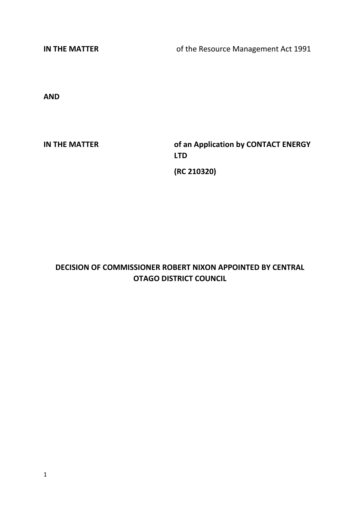**IN THE MATTER** of the Resource Management Act 1991

**AND**

**IN THE MATTER of an Application by CONTACT ENERGY LTD (RC 210320)**

# **DECISION OF COMMISSIONER ROBERT NIXON APPOINTED BY CENTRAL OTAGO DISTRICT COUNCIL**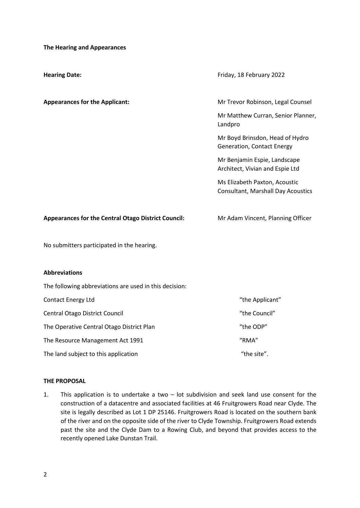**The Hearing and Appearances**

| <b>Hearing Date:</b>                                       | Friday, 18 February 2022                                                   |  |  |  |
|------------------------------------------------------------|----------------------------------------------------------------------------|--|--|--|
| <b>Appearances for the Applicant:</b>                      | Mr Trevor Robinson, Legal Counsel                                          |  |  |  |
|                                                            | Mr Matthew Curran, Senior Planner,<br>Landpro                              |  |  |  |
|                                                            | Mr Boyd Brinsdon, Head of Hydro<br><b>Generation, Contact Energy</b>       |  |  |  |
|                                                            | Mr Benjamin Espie, Landscape<br>Architect, Vivian and Espie Ltd            |  |  |  |
|                                                            | Ms Elizabeth Paxton, Acoustic<br><b>Consultant, Marshall Day Acoustics</b> |  |  |  |
| <b>Appearances for the Central Otago District Council:</b> | Mr Adam Vincent, Planning Officer                                          |  |  |  |
| No submitters participated in the hearing.                 |                                                                            |  |  |  |
| <b>Abbreviations</b>                                       |                                                                            |  |  |  |
| The following abbreviations are used in this decision:     |                                                                            |  |  |  |
| Contact Energy Ltd                                         | "the Applicant"                                                            |  |  |  |
| Central Otago District Council                             | "the Council"                                                              |  |  |  |
| The Operative Central Otago District Plan                  | "the ODP"                                                                  |  |  |  |
| The Resource Management Act 1991                           | "RMA"                                                                      |  |  |  |

The land subject to this application  $\blacksquare$ 

#### **THE PROPOSAL**

1. This application is to undertake a two – lot subdivision and seek land use consent for the construction of a datacentre and associated facilities at 46 Fruitgrowers Road near Clyde. The site is legally described as Lot 1 DP 25146. Fruitgrowers Road is located on the southern bank of the river and on the opposite side of the river to Clyde Township. Fruitgrowers Road extends past the site and the Clyde Dam to a Rowing Club, and beyond that provides access to the recently opened Lake Dunstan Trail.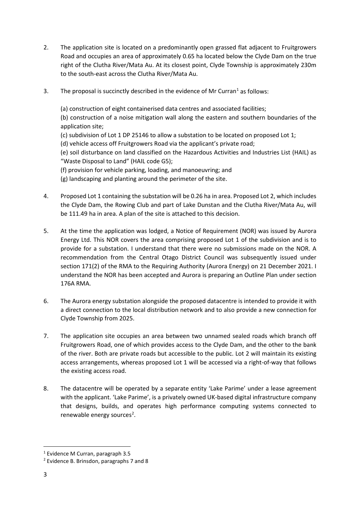- 2. The application site is located on a predominantly open grassed flat adjacent to Fruitgrowers Road and occupies an area of approximately 0.65 ha located below the Clyde Dam on the true right of the Clutha River/Mata Au. At its closest point, Clyde Township is approximately 230m to the south-east across the Clutha River/Mata Au.
- 3. The proposal is succinctly described in the evidence of Mr Curran<sup>1</sup> as follows:

(a) construction of eight containerised data centres and associated facilities;

(b) construction of a noise mitigation wall along the eastern and southern boundaries of the application site;

(c) subdivision of Lot 1 DP 25146 to allow a substation to be located on proposed Lot 1;

(d) vehicle access off Fruitgrowers Road via the applicant's private road;

(e) soil disturbance on land classified on the Hazardous Activities and Industries List (HAIL) as "Waste Disposal to Land" (HAIL code G5);

(f) provision for vehicle parking, loading, and manoeuvring; and

(g) landscaping and planting around the perimeter of the site.

- 4. Proposed Lot 1 containing the substation will be 0.26 ha in area. Proposed Lot 2, which includes the Clyde Dam, the Rowing Club and part of Lake Dunstan and the Clutha River/Mata Au, will be 111.49 ha in area. A plan of the site is attached to this decision.
- 5. At the time the application was lodged, a Notice of Requirement (NOR) was issued by Aurora Energy Ltd. This NOR covers the area comprising proposed Lot 1 of the subdivision and is to provide for a substation. I understand that there were no submissions made on the NOR. A recommendation from the Central Otago District Council was subsequently issued under section 171(2) of the RMA to the Requiring Authority (Aurora Energy) on 21 December 2021. I understand the NOR has been accepted and Aurora is preparing an Outline Plan under section 176A RMA.
- 6. The Aurora energy substation alongside the proposed datacentre is intended to provide it with a direct connection to the local distribution network and to also provide a new connection for Clyde Township from 2025.
- 7. The application site occupies an area between two unnamed sealed roads which branch off Fruitgrowers Road, one of which provides access to the Clyde Dam, and the other to the bank of the river. Both are private roads but accessible to the public. Lot 2 will maintain its existing access arrangements, whereas proposed Lot 1 will be accessed via a right-of-way that follows the existing access road.
- 8. The datacentre will be operated by a separate entity 'Lake Parime' under a lease agreement with the applicant. 'Lake Parime', is a privately owned UK-based digital infrastructure company that designs, builds, and operates high performance computing systems connected to renewable energy sources<sup>[2](#page-2-1)</sup>.

<span id="page-2-0"></span><sup>1</sup> Evidence M Curran, paragraph 3.5

<span id="page-2-1"></span><sup>2</sup> Evidence B. Brinsdon, paragraphs 7 and 8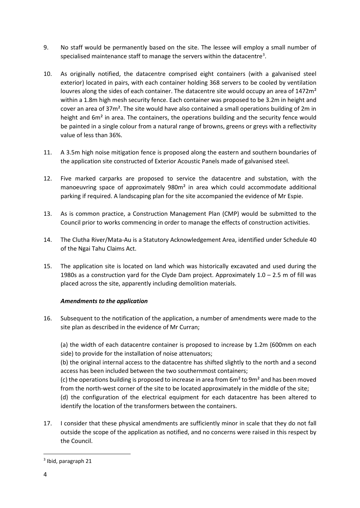- 9. No staff would be permanently based on the site. The lessee will employ a small number of specialised maintenance staff to manage the servers within the datacentre<sup>[3](#page-3-0)</sup>.
- 10. As originally notified, the datacentre comprised eight containers (with a galvanised steel exterior) located in pairs, with each container holding 368 servers to be cooled by ventilation louvres along the sides of each container. The datacentre site would occupy an area of 1472m<sup>2</sup> within a 1.8m high mesh security fence. Each container was proposed to be 3.2m in height and cover an area of 37m². The site would have also contained a small operations building of 2m in height and 6m<sup>2</sup> in area. The containers, the operations building and the security fence would be painted in a single colour from a natural range of browns, greens or greys with a reflectivity value of less than 36%.
- 11. A 3.5m high noise mitigation fence is proposed along the eastern and southern boundaries of the application site constructed of Exterior Acoustic Panels made of galvanised steel.
- 12. Five marked carparks are proposed to service the datacentre and substation, with the manoeuvring space of approximately 980m² in area which could accommodate additional parking if required. A landscaping plan for the site accompanied the evidence of Mr Espie.
- 13. As is common practice, a Construction Management Plan (CMP) would be submitted to the Council prior to works commencing in order to manage the effects of construction activities.
- 14. The Clutha River/Mata-Au is a Statutory Acknowledgement Area, identified under Schedule 40 of the Ngai Tahu Claims Act.
- 15. The application site is located on land which was historically excavated and used during the 1980s as a construction yard for the Clyde Dam project. Approximately  $1.0 - 2.5$  m of fill was placed across the site, apparently including demolition materials.

# *Amendments to the application*

16. Subsequent to the notification of the application, a number of amendments were made to the site plan as described in the evidence of Mr Curran;

(a) the width of each datacentre container is proposed to increase by 1.2m (600mm on each side) to provide for the installation of noise attenuators;

(b) the original internal access to the datacentre has shifted slightly to the north and a second access has been included between the two southernmost containers;

(c) the operations building is proposed to increase in area from  $6m<sup>2</sup>$  to  $9m<sup>2</sup>$  and has been moved from the north-west corner of the site to be located approximately in the middle of the site;

(d) the configuration of the electrical equipment for each datacentre has been altered to identify the location of the transformers between the containers.

17. I consider that these physical amendments are sufficiently minor in scale that they do not fall outside the scope of the application as notified, and no concerns were raised in this respect by the Council.

<span id="page-3-0"></span><sup>3</sup> Ibid, paragraph 21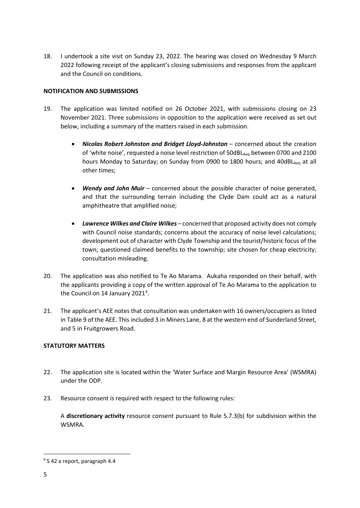18. I undertook a site visit on Sunday 23, 2022. The hearing was closed on Wednesday 9 March 2022 following receipt of the applicant's closing submissions and responses from the applicant and the Council on conditions.

# **NOTIFICATION AND SUBMISSIONS**

- 19. The application was limited notified on 26 October 2021, with submissions closing on 23 November 2021. Three submissions in opposition to the application were received as set out below, including a summary of the matters raised in each submission.
	- *Nicolas Robert Johnston and Bridget Lloyd-Johnston* concerned about the creation of 'white noise', requested a noise level restriction of  $50dB_{\text{Aeq}}$  between 0700 and 2100 hours Monday to Saturday; on Sunday from 0900 to 1800 hours; and 40dBL<sub>Aeg</sub> at all other times;
	- *Wendy and John Muir* concerned about the possible character of noise generated, and that the surrounding terrain including the Clyde Dam could act as a natural amphitheatre that amplified noise;
	- *Lawrence Wilkes and Claire Wilkes* concerned that proposed activity does not comply with Council noise standards; concerns about the accuracy of noise level calculations; development out of character with Clyde Township and the tourist/historic focus of the town; questioned claimed benefits to the township; site chosen for cheap electricity; consultation misleading.
- 20. The application was also notified to Te Ao Marama. Aukaha responded on their behalf, with the applicants providing a copy of the written approval of Te Ao Marama to the application to the Council on 1[4](#page-4-0) January 2021<sup>4</sup>.
- 21. The applicant's AEE notes that consultation was undertaken with 16 owners/occupiers as listed in Table 9 of the AEE. This included 3 in Miners Lane, 8 at the western end of Sunderland Street, and 5 in Fruitgrowers Road.

# **STATUTORY MATTERS**

- 22. The application site is located within the 'Water Surface and Margin Resource Area' (WSMRA) under the ODP.
- 23. Resource consent is required with respect to the following rules:

A **discretionary activity** resource consent pursuant to Rule 5.7.3(b) for subdivision within the WSMRA.

<span id="page-4-0"></span><sup>4</sup> S 42 a report, paragraph 4.4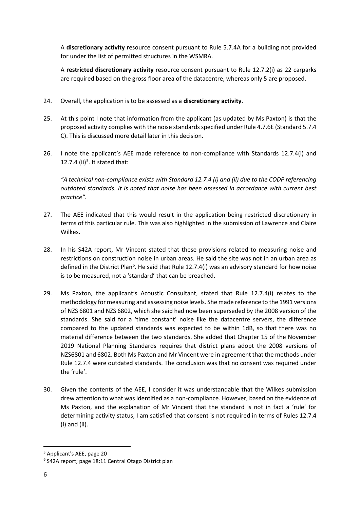A **discretionary activity** resource consent pursuant to Rule 5.7.4A for a building not provided for under the list of permitted structures in the WSMRA.

A **restricted discretionary activity** resource consent pursuant to Rule 12.7.2(i) as 22 carparks are required based on the gross floor area of the datacentre, whereas only 5 are proposed.

- 24. Overall, the application is to be assessed as a **discretionary activity**.
- 25. At this point I note that information from the applicant (as updated by Ms Paxton) is that the proposed activity complies with the noise standards specified under Rule 4.7.6E (Standard 5.7.4 C). This is discussed more detail later in this decision.
- 26. I note the applicant's AEE made reference to non-compliance with Standards 12.7.4(i) and 12.7.4 (ii) $5$ . It stated that:

*"A technical non-compliance exists with Standard 12.7.4 (i) and (ii) due to the CODP referencing outdated standards. It is noted that noise has been assessed in accordance with current best practice".*

- 27. The AEE indicated that this would result in the application being restricted discretionary in terms of this particular rule. This was also highlighted in the submission of Lawrence and Claire Wilkes.
- 28. In his S42A report, Mr Vincent stated that these provisions related to measuring noise and restrictions on construction noise in urban areas. He said the site was not in an urban area as defined in the District Plan<sup>6</sup>. He said that Rule 12.7.4(i) was an advisory standard for how noise is to be measured, not a 'standard' that can be breached.
- 29. Ms Paxton, the applicant's Acoustic Consultant, stated that Rule 12.7.4(i) relates to the methodology for measuring and assessing noise levels. She made reference to the 1991 versions of NZS 6801 and NZS 6802, which she said had now been superseded by the 2008 version of the standards. She said for a 'time constant' noise like the datacentre servers, the difference compared to the updated standards was expected to be within 1dB, so that there was no material difference between the two standards. She added that Chapter 15 of the November 2019 National Planning Standards requires that district plans adopt the 2008 versions of NZS6801 and 6802. Both Ms Paxton and Mr Vincent were in agreement that the methods under Rule 12.7.4 were outdated standards. The conclusion was that no consent was required under the 'rule'.
- 30. Given the contents of the AEE, I consider it was understandable that the Wilkes submission drew attention to what was identified as a non-compliance. However, based on the evidence of Ms Paxton, and the explanation of Mr Vincent that the standard is not in fact a 'rule' for determining activity status, I am satisfied that consent is not required in terms of Rules 12.7.4 (i) and (ii).

<span id="page-5-0"></span><sup>5</sup> Applicant's AEE, page 20

<span id="page-5-1"></span><sup>6</sup> S42A report; page 18:11 Central Otago District plan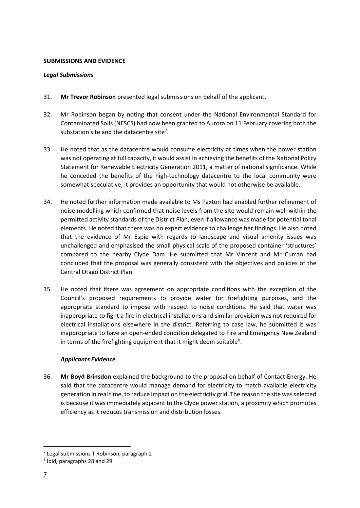#### **SUBMISSIONS AND EVIDENCE**

## *Legal Submissions*

- 31. **Mr Trevor Robinson** presented legal submissions on behalf of the applicant.
- 32. Mr Robinson began by noting that consent under the National Environmental Standard for Contaminated Soils (NESCS) had now been granted to Aurora on 11 February covering both the substation site and the datacentre site<sup>[7](#page-6-0)</sup>.
- 33. He noted that as the datacentre would consume electricity at times when the power station was not operating at full capacity, it would assist in achieving the benefits of the National Policy Statement for Renewable Electricity Generation 2011, a matter of national significance. While he conceded the benefits of the high-technology datacentre to the local community were somewhat speculative, it provides an opportunity that would not otherwise be available.
- 34. He noted further information made available to Ms Paxton had enabled further refinement of noise modelling which confirmed that noise levels from the site would remain well within the permitted activity standards of the District Plan, even if allowance was made for potential tonal elements. He noted that there was no expert evidence to challenge her findings. He also noted that the evidence of Mr Espie with regards to landscape and visual amenity issues was unchallenged and emphasised the small physical scale of the proposed container 'structures' compared to the nearby Clyde Dam. He submitted that Mr Vincent and Mr Curran had concluded that the proposal was generally consistent with the objectives and policies of the Central Otago District Plan.
- 35. He noted that there was agreement on appropriate conditions with the exception of the Council's proposed requirements to provide water for firefighting purposes, and the appropriate standard to impose with respect to noise conditions. He said that water was inappropriate to fight a fire in electrical installations and similar provision was not required for electrical installations elsewhere in the district. Referring to case law, he submitted it was inappropriate to have an open-ended condition delegated to Fire and Emergency New Zealand in terms of the firefighting equipment that it might deem suitable<sup>[8](#page-6-1)</sup>.

# *Applicants Evidence*

36. **Mr Boyd Brinsdon** explained the background to the proposal on behalf of Contact Energy. He said that the datacentre would manage demand for electricity to match available electricity generation in real time, to reduce impact on the electricity grid. The reason the site was selected is because it was immediately adjacent to the Clyde power station, a proximity which promotes efficiency as it reduces transmission and distribution losses.

<span id="page-6-0"></span><sup>7</sup> Legal submissions T Robinson, paragraph 2

<span id="page-6-1"></span><sup>8</sup> Ibid, paragraphs 28 and 29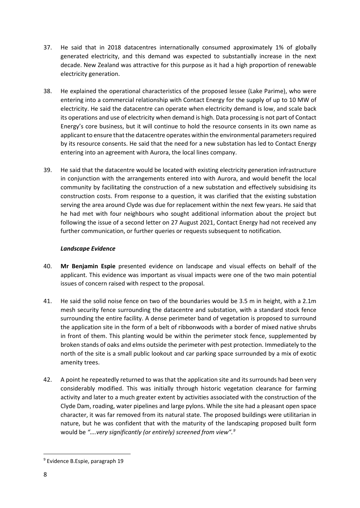- 37. He said that in 2018 datacentres internationally consumed approximately 1% of globally generated electricity, and this demand was expected to substantially increase in the next decade. New Zealand was attractive for this purpose as it had a high proportion of renewable electricity generation.
- 38. He explained the operational characteristics of the proposed lessee (Lake Parime), who were entering into a commercial relationship with Contact Energy for the supply of up to 10 MW of electricity. He said the datacentre can operate when electricity demand is low, and scale back its operations and use of electricity when demand is high. Data processing is not part of Contact Energy's core business, but it will continue to hold the resource consents in its own name as applicant to ensure that the datacentre operates within the environmental parameters required by its resource consents. He said that the need for a new substation has led to Contact Energy entering into an agreement with Aurora, the local lines company.
- 39. He said that the datacentre would be located with existing electricity generation infrastructure in conjunction with the arrangements entered into with Aurora, and would benefit the local community by facilitating the construction of a new substation and effectively subsidising its construction costs. From response to a question, it was clarified that the existing substation serving the area around Clyde was due for replacement within the next few years. He said that he had met with four neighbours who sought additional information about the project but following the issue of a second letter on 27 August 2021, Contact Energy had not received any further communication, or further queries or requests subsequent to notification.

# *Landscape Evidence*

- 40. **Mr Benjamin Espie** presented evidence on landscape and visual effects on behalf of the applicant. This evidence was important as visual impacts were one of the two main potential issues of concern raised with respect to the proposal.
- 41. He said the solid noise fence on two of the boundaries would be 3.5 m in height, with a 2.1m mesh security fence surrounding the datacentre and substation, with a standard stock fence surrounding the entire facility. A dense perimeter band of vegetation is proposed to surround the application site in the form of a belt of ribbonwoods with a border of mixed native shrubs in front of them. This planting would be within the perimeter stock fence, supplemented by broken stands of oaks and elms outside the perimeter with pest protection. Immediately to the north of the site is a small public lookout and car parking space surrounded by a mix of exotic amenity trees.
- 42. A point he repeatedly returned to was that the application site and its surrounds had been very considerably modified. This was initially through historic vegetation clearance for farming activity and later to a much greater extent by activities associated with the construction of the Clyde Dam, roading, water pipelines and large pylons. While the site had a pleasant open space character, it was far removed from its natural state. The proposed buildings were utilitarian in nature, but he was confident that with the maturity of the landscaping proposed built form would be *"….very significantly (or entirely) screened from view".[9](#page-7-0)*

<span id="page-7-0"></span><sup>9</sup> Evidence B.Espie, paragraph 19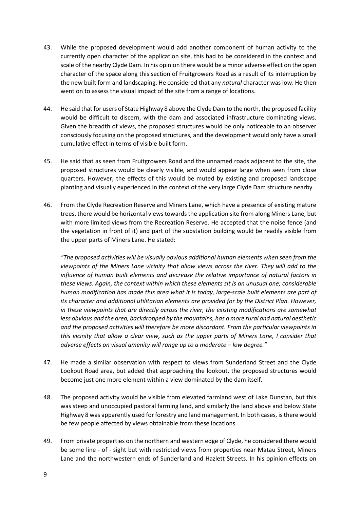- 43. While the proposed development would add another component of human activity to the currently open character of the application site, this had to be considered in the context and scale of the nearby Clyde Dam. In his opinion there would be a minor adverse effect on the open character of the space along this section of Fruitgrowers Road as a result of its interruption by the new built form and landscaping. He considered that any *natural* character was low. He then went on to assess the visual impact of the site from a range of locations.
- 44. He said that for users of State Highway 8 above the Clyde Dam to the north, the proposed facility would be difficult to discern, with the dam and associated infrastructure dominating views. Given the breadth of views, the proposed structures would be only noticeable to an observer consciously focusing on the proposed structures, and the development would only have a small cumulative effect in terms of visible built form.
- 45. He said that as seen from Fruitgrowers Road and the unnamed roads adjacent to the site, the proposed structures would be clearly visible, and would appear large when seen from close quarters. However, the effects of this would be muted by existing and proposed landscape planting and visually experienced in the context of the very large Clyde Dam structure nearby.
- 46. From the Clyde Recreation Reserve and Miners Lane, which have a presence of existing mature trees, there would be horizontal views towards the application site from along Miners Lane, but with more limited views from the Recreation Reserve. He accepted that the noise fence (and the vegetation in front of it) and part of the substation building would be readily visible from the upper parts of Miners Lane. He stated:

*"The proposed activities will be visually obvious additional human elements when seen from the viewpoints of the Miners Lane vicinity that allow views across the river. They will add to the influence of human built elements and decrease the relative importance of natural factors in these views. Again, the context within which these elements sit is an unusual one; considerable human modification has made this area what it is today, large-scale built elements are part of its character and additional utilitarian elements are provided for by the District Plan. However, in these viewpoints that are directly across the river, the existing modifications are somewhat less obvious and the area, backdropped by the mountains, has a more rural and natural aesthetic and the proposed activities will therefore be more discordant. From the particular viewpoints in this vicinity that allow a clear view, such as the upper parts of Miners Lane, I consider that adverse effects on visual amenity will range up to a moderate – low degree."*

- 47. He made a similar observation with respect to views from Sunderland Street and the Clyde Lookout Road area, but added that approaching the lookout, the proposed structures would become just one more element within a view dominated by the dam itself.
- 48. The proposed activity would be visible from elevated farmland west of Lake Dunstan, but this was steep and unoccupied pastoral farming land, and similarly the land above and below State Highway 8 was apparently used for forestry and land management. In both cases, is there would be few people affected by views obtainable from these locations.
- 49. From private properties on the northern and western edge of Clyde, he considered there would be some line - of - sight but with restricted views from properties near Matau Street, Miners Lane and the northwestern ends of Sunderland and Hazlett Streets. In his opinion effects on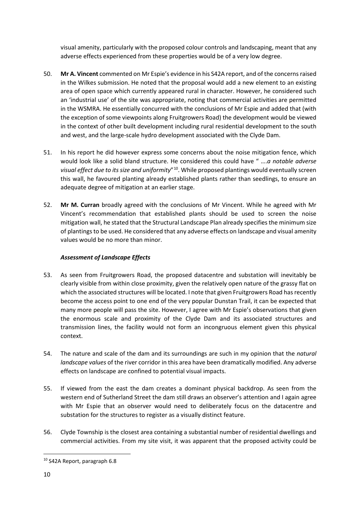visual amenity, particularly with the proposed colour controls and landscaping, meant that any adverse effects experienced from these properties would be of a very low degree.

- 50. **Mr A. Vincent** commented on Mr Espie's evidence in his S42A report, and of the concerns raised in the Wilkes submission. He noted that the proposal would add a new element to an existing area of open space which currently appeared rural in character. However, he considered such an 'industrial use' of the site was appropriate, noting that commercial activities are permitted in the WSMRA. He essentially concurred with the conclusions of Mr Espie and added that (with the exception of some viewpoints along Fruitgrowers Road) the development would be viewed in the context of other built development including rural residential development to the south and west, and the large-scale hydro development associated with the Clyde Dam.
- 51. In his report he did however express some concerns about the noise mitigation fence, which would look like a solid bland structure. He considered this could have " ….*a notable adverse visual effect due to its size and uniformity*"[10](#page-9-0). While proposed plantings would eventually screen this wall, he favoured planting already established plants rather than seedlings, to ensure an adequate degree of mitigation at an earlier stage.
- 52. **Mr M. Curran** broadly agreed with the conclusions of Mr Vincent. While he agreed with Mr Vincent's recommendation that established plants should be used to screen the noise mitigation wall, he stated that the Structural Landscape Plan already specifies the minimum size of plantings to be used. He considered that any adverse effects on landscape and visual amenity values would be no more than minor.

# *Assessment of Landscape Effects*

- 53. As seen from Fruitgrowers Road, the proposed datacentre and substation will inevitably be clearly visible from within close proximity, given the relatively open nature of the grassy flat on which the associated structures will be located. I note that given Fruitgrowers Road has recently become the access point to one end of the very popular Dunstan Trail, it can be expected that many more people will pass the site. However, I agree with Mr Espie's observations that given the enormous scale and proximity of the Clyde Dam and its associated structures and transmission lines, the facility would not form an incongruous element given this physical context.
- 54. The nature and scale of the dam and its surroundings are such in my opinion that the *natural landscape values* of the river corridor in this area have been dramatically modified. Any adverse effects on landscape are confined to potential visual impacts.
- 55. If viewed from the east the dam creates a dominant physical backdrop. As seen from the western end of Sutherland Street the dam still draws an observer's attention and I again agree with Mr Espie that an observer would need to deliberately focus on the datacentre and substation for the structures to register as a visually distinct feature.
- 56. Clyde Township is the closest area containing a substantial number of residential dwellings and commercial activities. From my site visit, it was apparent that the proposed activity could be

<span id="page-9-0"></span><sup>10</sup> S42A Report, paragraph 6.8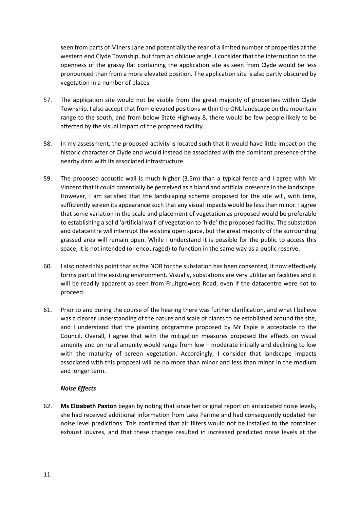seen from parts of Miners Lane and potentially the rear of a limited number of properties at the western end Clyde Township, but from an oblique angle. I consider that the interruption to the openness of the grassy flat containing the application site as seen from Clyde would be less pronounced than from a more elevated position. The application site is also partly obscured by vegetation in a number of places.

- 57. The application site would not be visible from the great majority of properties within Clyde Township. I also accept that from elevated positions within the ONL landscape on the mountain range to the south, and from below State Highway 8, there would be few people likely to be affected by the visual impact of the proposed facility.
- 58. In my assessment, the proposed activity is located such that it would have little impact on the historic character of Clyde and would instead be associated with the dominant presence of the nearby dam with its associated infrastructure.
- 59. The proposed acoustic wall is much higher (3.5m) than a typical fence and I agree with Mr Vincent that it could potentially be perceived as a bland and artificial presence in the landscape. However, I am satisfied that the landscaping scheme proposed for the site will, with time, sufficiently screen its appearance such that any visual impacts would be less than minor. I agree that some variation in the scale and placement of vegetation as proposed would be preferable to establishing a solid 'artificial wall' of vegetation to 'hide' the proposed facility. The substation and datacentre will interrupt the existing open space, but the great majority of the surrounding grassed area will remain open. While I understand it is possible for the public to access this space, it is not intended (or encouraged) to function in the same way as a public reserve.
- 60. I also noted this point that as the NOR for the substation has been consented, it now effectively forms part of the existing environment. Visually, substations are very utilitarian facilities and it will be readily apparent as seen from Fruitgrowers Road, even if the datacentre were not to proceed.
- 61. Prior to and during the course of the hearing there was further clarification, and what I believe was a clearer understanding of the nature and scale of plants to be established around the site, and I understand that the planting programme proposed by Mr Espie is acceptable to the Council. Overall, I agree that with the mitigation measures proposed the effects on visual amenity and on rural amenity would range from low – moderate initially and declining to low with the maturity of screen vegetation. Accordingly, I consider that landscape impacts associated with this proposal will be no more than minor and less than minor in the medium and longer term.

# *Noise Effects*

62. **Ms Elizabeth Paxton** began by noting that since her original report on anticipated noise levels, she had received additional information from Lake Parime and had consequently updated her noise level predictions. This confirmed that air filters would not be installed to the container exhaust louvres, and that these changes resulted in increased predicted noise levels at the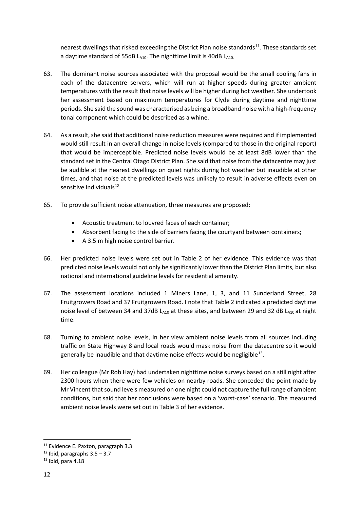nearest dwellings that risked exceeding the District Plan noise standards<sup>[11](#page-11-0)</sup>. These standards set a daytime standard of 55dB LA10. The nighttime limit is 40dB LA10.

- 63. The dominant noise sources associated with the proposal would be the small cooling fans in each of the datacentre servers, which will run at higher speeds during greater ambient temperatures with the result that noise levels will be higher during hot weather. She undertook her assessment based on maximum temperatures for Clyde during daytime and nighttime periods. She said the sound was characterised as being a broadband noise with a high-frequency tonal component which could be described as a whine.
- 64. As a result, she said that additional noise reduction measures were required and if implemented would still result in an overall change in noise levels (compared to those in the original report) that would be imperceptible. Predicted noise levels would be at least 8dB lower than the standard set in the Central Otago District Plan. She said that noise from the datacentre may just be audible at the nearest dwellings on quiet nights during hot weather but inaudible at other times, and that noise at the predicted levels was unlikely to result in adverse effects even on sensitive individuals<sup>[12](#page-11-1)</sup>.
- 65. To provide sufficient noise attenuation, three measures are proposed:
	- Acoustic treatment to louvred faces of each container;
	- Absorbent facing to the side of barriers facing the courtyard between containers;
	- A 3.5 m high noise control barrier.
- 66. Her predicted noise levels were set out in Table 2 of her evidence. This evidence was that predicted noise levels would not only be significantly lower than the District Plan limits, but also national and international guideline levels for residential amenity.
- 67. The assessment locations included 1 Miners Lane, 1, 3, and 11 Sunderland Street, 28 Fruitgrowers Road and 37 Fruitgrowers Road. I note that Table 2 indicated a predicted daytime noise level of between 34 and 37dB  $L_{A10}$  at these sites, and between 29 and 32 dB  $L_{A10}$  at night time.
- 68. Turning to ambient noise levels, in her view ambient noise levels from all sources including traffic on State Highway 8 and local roads would mask noise from the datacentre so it would generally be inaudible and that daytime noise effects would be negligible<sup>[13](#page-11-2)</sup>.
- 69. Her colleague (Mr Rob Hay) had undertaken nighttime noise surveys based on a still night after 2300 hours when there were few vehicles on nearby roads. She conceded the point made by Mr Vincent that sound levels measured on one night could not capture the full range of ambient conditions, but said that her conclusions were based on a 'worst-case' scenario. The measured ambient noise levels were set out in Table 3 of her evidence.

<span id="page-11-0"></span><sup>&</sup>lt;sup>11</sup> Evidence E. Paxton, paragraph 3.3

<span id="page-11-1"></span> $12$  Ibid, paragraphs  $3.5 - 3.7$ 

<span id="page-11-2"></span> $13$  Ibid, para 4.18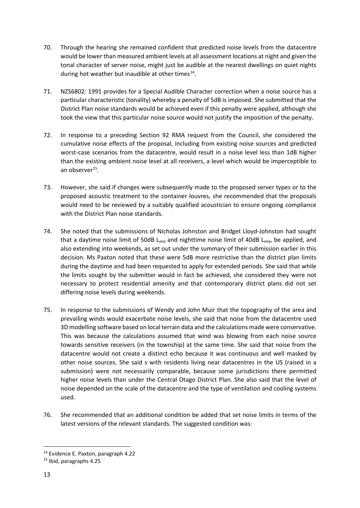- 70. Through the hearing she remained confident that predicted noise levels from the datacentre would be lower than measured ambient levels at all assessment locations at night and given the tonal character of server noise, might just be audible at the nearest dwellings on quiet nights during hot weather but inaudible at other times $^{14}$ .
- 71. NZS6802: 1991 provides for a Special Audible Character correction when a noise source has a particular characteristic (tonality) whereby a penalty of 5dB is imposed. She submitted that the District Plan noise standards would be achieved even if this penalty were applied, although she took the view that this particular noise source would not justify the imposition of the penalty.
- 72. In response to a preceding Section 92 RMA request from the Council, she considered the cumulative noise effects of the proposal, including from existing noise sources and predicted worst-case scenarios from the datacentre, would result in a noise level less than 1dB higher than the existing ambient noise level at all receivers, a level which would be imperceptible to an observer $^{15}$ .
- 73. However, she said if changes were subsequently made to the proposed server types or to the proposed acoustic treatment to the container louvres, she recommended that the proposals would need to be reviewed by a suitably qualified acoustician to ensure ongoing compliance with the District Plan noise standards.
- 74. She noted that the submissions of Nicholas Johnston and Bridget Lloyd-Johnston had sought that a daytime noise limit of 50dB  $L_{\text{aeq}}$  and nighttime noise limit of 40dB  $L_{\text{aeq}}$ , be applied, and also extending into weekends, as set out under the summary of their submission earlier in this decision. Ms Paxton noted that these were 5dB more restrictive than the district plan limits during the daytime and had been requested to apply for extended periods. She said that while the limits sought by the submitter would in fact be achieved, she considered they were not necessary to protect residential amenity and that contemporary district plans did not set differing noise levels during weekends.
- 75. In response to the submissions of Wendy and John Muir that the topography of the area and prevailing winds would exacerbate noise levels, she said that noise from the datacentre used 3D modelling software based on local terrain data and the calculations made were conservative. This was because the calculations assumed that wind was blowing from each noise source towards sensitive receivers (in the township) at the same time. She said that noise from the datacentre would not create a distinct echo because it was continuous and well masked by other noise sources. She said s with residents living near datacentres in the US (raised in a submission) were not necessarily comparable, because some jurisdictions there permitted higher noise levels than under the Central Otago District Plan. She also said that the level of noise depended on the scale of the datacentre and the type of ventilation and cooling systems used.
- 76. She recommended that an additional condition be added that set noise limits in terms of the latest versions of the relevant standards. The suggested condition was:

<span id="page-12-0"></span><sup>14</sup> Evidence E. Paxton, paragraph 4.22

<span id="page-12-1"></span><sup>15</sup> Ibid, paragraphs 4.25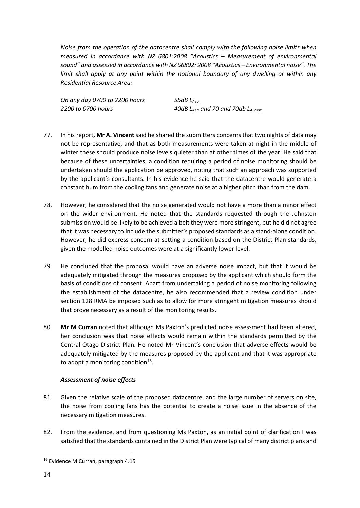*Noise from the operation of the datacentre shall comply with the following noise limits when measured in accordance with NZ 6801:2008 "Acoustics – Measurement of environmental sound" and assessed in accordance with NZ S6802: 2008 "Acoustics – Environmental noise". The limit shall apply at any point within the notional boundary of any dwelling or within any Residential Resource Area:*

*On any day 0700 to 2200 hours 55dB LAeq*

*2200 to 0700 hours 40dB LAeq and 70 and 70db LAFmax*

- 77. In his report**, Mr A. Vincent**said he shared the submitters concerns that two nights of data may not be representative, and that as both measurements were taken at night in the middle of winter these should produce noise levels quieter than at other times of the year. He said that because of these uncertainties, a condition requiring a period of noise monitoring should be undertaken should the application be approved, noting that such an approach was supported by the applicant's consultants. In his evidence he said that the datacentre would generate a constant hum from the cooling fans and generate noise at a higher pitch than from the dam.
- 78. However, he considered that the noise generated would not have a more than a minor effect on the wider environment. He noted that the standards requested through the Johnston submission would be likely to be achieved albeit they were more stringent, but he did not agree that it was necessary to include the submitter's proposed standards as a stand-alone condition. However, he did express concern at setting a condition based on the District Plan standards, given the modelled noise outcomes were at a significantly lower level.
- 79. He concluded that the proposal would have an adverse noise impact, but that it would be adequately mitigated through the measures proposed by the applicant which should form the basis of conditions of consent. Apart from undertaking a period of noise monitoring following the establishment of the datacentre, he also recommended that a review condition under section 128 RMA be imposed such as to allow for more stringent mitigation measures should that prove necessary as a result of the monitoring results.
- 80. **Mr M Curran** noted that although Ms Paxton's predicted noise assessment had been altered, her conclusion was that noise effects would remain within the standards permitted by the Central Otago District Plan. He noted Mr Vincent's conclusion that adverse effects would be adequately mitigated by the measures proposed by the applicant and that it was appropriate to adopt a monitoring condition<sup>16</sup>.

# *Assessment of noise effects*

- 81. Given the relative scale of the proposed datacentre, and the large number of servers on site, the noise from cooling fans has the potential to create a noise issue in the absence of the necessary mitigation measures.
- 82. From the evidence, and from questioning Ms Paxton, as an initial point of clarification I was satisfied that the standards contained in the District Plan were typical of many district plans and

<span id="page-13-0"></span><sup>&</sup>lt;sup>16</sup> Evidence M Curran, paragraph 4.15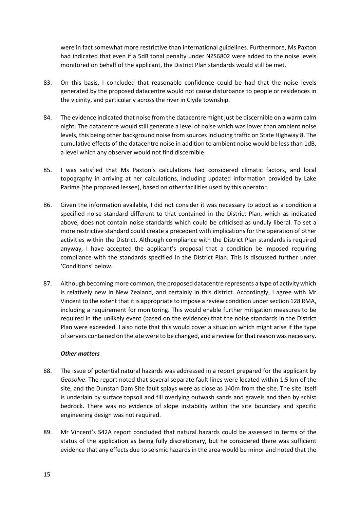were in fact somewhat more restrictive than international guidelines. Furthermore, Ms Paxton had indicated that even if a 5dB tonal penalty under NZS6802 were added to the noise levels monitored on behalf of the applicant, the District Plan standards would still be met.

- 83. On this basis, I concluded that reasonable confidence could be had that the noise levels generated by the proposed datacentre would not cause disturbance to people or residences in the vicinity, and particularly across the river in Clyde township.
- 84. The evidence indicated that noise from the datacentre might just be discernible on a warm calm night. The datacentre would still generate a level of noise which was lower than ambient noise levels, this being other background noise from sources including traffic on State Highway 8. The cumulative effects of the datacentre noise in addition to ambient noise would be less than 1dB, a level which any observer would not find discernible.
- 85. I was satisfied that Ms Paxton's calculations had considered climatic factors, and local topography in arriving at her calculations, including updated information provided by Lake Parime (the proposed lessee), based on other facilities used by this operator.
- 86. Given the information available, I did not consider it was necessary to adopt as a condition a specified noise standard different to that contained in the District Plan, which as indicated above, does not contain noise standards which could be criticised as unduly liberal. To set a more restrictive standard could create a precedent with implications for the operation of other activities within the District. Although compliance with the District Plan standards is required anyway, I have accepted the applicant's proposal that a condition be imposed requiring compliance with the standards specified in the District Plan. This is discussed further under 'Conditions' below.
- 87. Although becoming more common, the proposed datacentre represents a type of activity which is relatively new in New Zealand, and certainly in this district. Accordingly, I agree with Mr Vincent to the extent that it is appropriate to impose a review condition under section 128 RMA, including a requirement for monitoring. This would enable further mitigation measures to be required in the unlikely event (based on the evidence) that the noise standards in the District Plan were exceeded. I also note that this would cover a situation which might arise if the type of servers contained on the site were to be changed, and a review for that reason was necessary.

# *Other matters*

- 88. The issue of potential natural hazards was addressed in a report prepared for the applicant by *Geosolve*. The report noted that several separate fault lines were located within 1.5 km of the site, and the Dunstan Dam Site fault splays were as close as 140m from the site. The site itself is underlain by surface topsoil and fill overlying outwash sands and gravels and then by schist bedrock. There was no evidence of slope instability within the site boundary and specific engineering design was not required.
- 89. Mr Vincent's S42A report concluded that natural hazards could be assessed in terms of the status of the application as being fully discretionary, but he considered there was sufficient evidence that any effects due to seismic hazards in the area would be minor and noted that the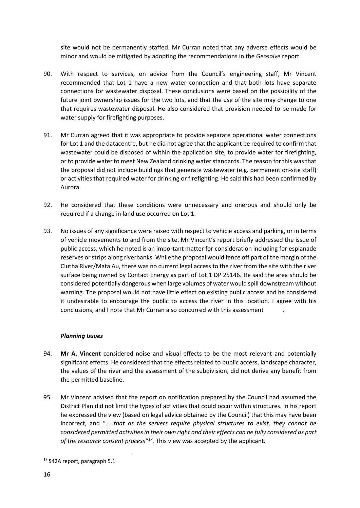site would not be permanently staffed. Mr Curran noted that any adverse effects would be minor and would be mitigated by adopting the recommendations in the *Geosolve* report.

- 90. With respect to services, on advice from the Council's engineering staff, Mr Vincent recommended that Lot 1 have a new water connection and that both lots have separate connections for wastewater disposal. These conclusions were based on the possibility of the future joint ownership issues for the two lots, and that the use of the site may change to one that requires wastewater disposal. He also considered that provision needed to be made for water supply for firefighting purposes.
- 91. Mr Curran agreed that it was appropriate to provide separate operational water connections for Lot 1 and the datacentre, but he did not agree that the applicant be required to confirm that wastewater could be disposed of within the application site, to provide water for firefighting, or to provide water to meet New Zealand drinking water standards. The reason for this was that the proposal did not include buildings that generate wastewater (e.g. permanent on-site staff) or activities that required water for drinking or firefighting. He said this had been confirmed by Aurora.
- 92. He considered that these conditions were unnecessary and onerous and should only be required if a change in land use occurred on Lot 1.
- 93. No issues of any significance were raised with respect to vehicle access and parking, or in terms of vehicle movements to and from the site. Mr Vincent's report briefly addressed the issue of public access, which he noted is an important matter for consideration including for esplanade reserves or strips along riverbanks. While the proposal would fence off part of the margin of the Clutha River/Mata Au, there was no current legal access to the river from the site with the river surface being owned by Contact Energy as part of Lot 1 DP 25146. He said the area should be considered potentially dangerous when large volumes of water would spill downstream without warning. The proposal would not have little effect on existing public access and he considered it undesirable to encourage the public to access the river in this location. I agree with his conclusions, and I note that Mr Curran also concurred with this assessment .

# *Planning Issues*

- 94. **Mr A. Vincent** considered noise and visual effects to be the most relevant and potentially significant effects. He considered that the effects related to public access, landscape character, the values of the river and the assessment of the subdivision, did not derive any benefit from the permitted baseline.
- 95. Mr Vincent advised that the report on notification prepared by the Council had assumed the District Plan did not limit the types of activities that could occur within structures. In his report he expressed the view (based on legal advice obtained by the Council) that this may have been incorrect, and "…..*that as the servers require physical structures to exist, they cannot be considered permitted activities in their own right and their effects can be fully considered as part of the resource consent process"[17](#page-15-0).* This view was accepted by the applicant.

<span id="page-15-0"></span><sup>&</sup>lt;sup>17</sup> S42A report, paragraph 5.1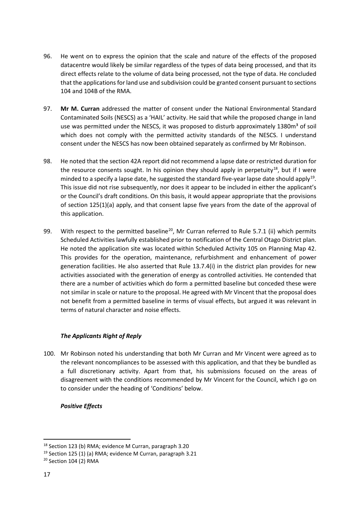- 96. He went on to express the opinion that the scale and nature of the effects of the proposed datacentre would likely be similar regardless of the types of data being processed, and that its direct effects relate to the volume of data being processed, not the type of data. He concluded that the applications for land use and subdivision could be granted consent pursuant to sections 104 and 104B of the RMA.
- 97. **Mr M. Curran** addressed the matter of consent under the National Environmental Standard Contaminated Soils (NESCS) as a 'HAIL' activity. He said that while the proposed change in land use was permitted under the NESCS, it was proposed to disturb approximately 1380m<sup>3</sup> of soil which does not comply with the permitted activity standards of the NESCS. I understand consent under the NESCS has now been obtained separately as confirmed by Mr Robinson.
- 98. He noted that the section 42A report did not recommend a lapse date or restricted duration for the resource consents sought. In his opinion they should apply in perpetuity<sup>[18](#page-16-0)</sup>, but if I were minded to a specify a lapse date, he suggested the standard five-year lapse date should apply<sup>[19](#page-16-1)</sup>. This issue did not rise subsequently, nor does it appear to be included in either the applicant's or the Council's draft conditions. On this basis, it would appear appropriate that the provisions of section 125(1)(a) apply, and that consent lapse five years from the date of the approval of this application.
- 99. With respect to the permitted baseline<sup>20</sup>, Mr Curran referred to Rule 5.7.1 (ii) which permits Scheduled Activities lawfully established prior to notification of the Central Otago District plan. He noted the application site was located within Scheduled Activity 105 on Planning Map 42. This provides for the operation, maintenance, refurbishment and enhancement of power generation facilities. He also asserted that Rule 13.7.4(i) in the district plan provides for new activities associated with the generation of energy as controlled activities. He contended that there are a number of activities which do form a permitted baseline but conceded these were not similar in scale or nature to the proposal. He agreed with Mr Vincent that the proposal does not benefit from a permitted baseline in terms of visual effects, but argued it was relevant in terms of natural character and noise effects.

# *The Applicants Right of Reply*

100. Mr Robinson noted his understanding that both Mr Curran and Mr Vincent were agreed as to the relevant noncompliances to be assessed with this application, and that they be bundled as a full discretionary activity. Apart from that, his submissions focused on the areas of disagreement with the conditions recommended by Mr Vincent for the Council, which I go on to consider under the heading of 'Conditions' below.

# *Positive Effects*

<span id="page-16-0"></span><sup>18</sup> Section 123 (b) RMA; evidence M Curran, paragraph 3.20

<span id="page-16-1"></span><sup>19</sup> Section 125 (1) (a) RMA; evidence M Curran, paragraph 3.21

<span id="page-16-2"></span><sup>20</sup> Section 104 (2) RMA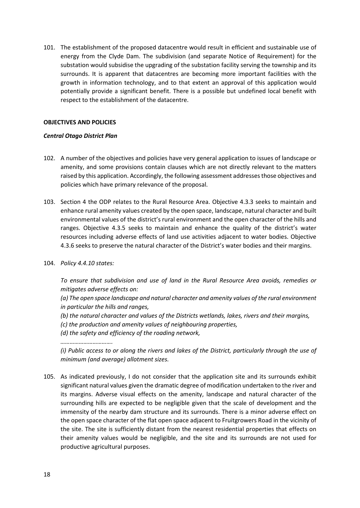101. The establishment of the proposed datacentre would result in efficient and sustainable use of energy from the Clyde Dam. The subdivision (and separate Notice of Requirement) for the substation would subsidise the upgrading of the substation facility serving the township and its surrounds. It is apparent that datacentres are becoming more important facilities with the growth in information technology, and to that extent an approval of this application would potentially provide a significant benefit. There is a possible but undefined local benefit with respect to the establishment of the datacentre.

## **OBJECTIVES AND POLICIES**

## *Central Otago District Plan*

- 102. A number of the objectives and policies have very general application to issues of landscape or amenity, and some provisions contain clauses which are not directly relevant to the matters raised by this application. Accordingly, the following assessment addresses those objectives and policies which have primary relevance of the proposal.
- 103. Section 4 the ODP relates to the Rural Resource Area. Objective 4.3.3 seeks to maintain and enhance rural amenity values created by the open space, landscape, natural character and built environmental values of the district's rural environment and the open character of the hills and ranges. Objective 4.3.5 seeks to maintain and enhance the quality of the district's water resources including adverse effects of land use activities adjacent to water bodies. Objective 4.3.6 seeks to preserve the natural character of the District's water bodies and their margins.
- 104. *Policy 4.4.10 states:*

*To ensure that subdivision and use of land in the Rural Resource Area avoids, remedies or mitigates adverse effects on:*

*(a) The open space landscape and natural character and amenity values of the rural environment in particular the hills and ranges,*

- *(b) the natural character and values of the Districts wetlands, lakes, rivers and their margins,*
- *(c) the production and amenity values of neighbouring properties,*
- *(d) the safety and efficiency of the roading network,*

*…………………………….*

*(i) Public access to or along the rivers and lakes of the District, particularly through the use of minimum (and average) allotment sizes.*

105. As indicated previously, I do not consider that the application site and its surrounds exhibit significant natural values given the dramatic degree of modification undertaken to the river and its margins. Adverse visual effects on the amenity, landscape and natural character of the surrounding hills are expected to be negligible given that the scale of development and the immensity of the nearby dam structure and its surrounds. There is a minor adverse effect on the open space character of the flat open space adjacent to Fruitgrowers Road in the vicinity of the site. The site is sufficiently distant from the nearest residential properties that effects on their amenity values would be negligible, and the site and its surrounds are not used for productive agricultural purposes.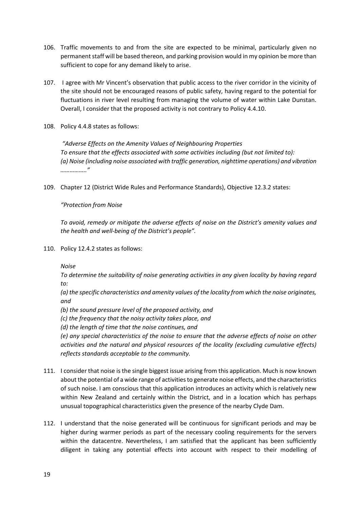- 106. Traffic movements to and from the site are expected to be minimal, particularly given no permanent staff will be based thereon, and parking provision would in my opinion be more than sufficient to cope for any demand likely to arise.
- 107. I agree with Mr Vincent's observation that public access to the river corridor in the vicinity of the site should not be encouraged reasons of public safety, having regard to the potential for fluctuations in river level resulting from managing the volume of water within Lake Dunstan. Overall, I consider that the proposed activity is not contrary to Policy 4.4.10.
- 108. Policy 4.4.8 states as follows:

*"Adverse Effects on the Amenity Values of Neighbouring Properties To ensure that the effects associated with some activities including (but not limited to): (a) Noise (including noise associated with traffic generation, nighttime operations) and vibration …………….."*

109. Chapter 12 (District Wide Rules and Performance Standards), Objective 12.3.2 states:

*"Protection from Noise*

*To avoid, remedy or mitigate the adverse effects of noise on the District's amenity values and the health and well-being of the District's people".*

110. Policy 12.4.2 states as follows:

*Noise*

*To determine the suitability of noise generating activities in any given locality by having regard to:*

*(a) the specific characteristics and amenity values of the locality from which the noise originates, and*

- *(b) the sound pressure level of the proposed activity, and*
- *(c) the frequency that the noisy activity takes place, and*

*(d) the length of time that the noise continues, and*

*(e) any special characteristics of the noise to ensure that the adverse effects of noise on other activities and the natural and physical resources of the locality (excluding cumulative effects) reflects standards acceptable to the community.* 

- 111. I consider that noise is the single biggest issue arising from this application. Much is now known about the potential of a wide range of activities to generate noise effects, and the characteristics of such noise. I am conscious that this application introduces an activity which is relatively new within New Zealand and certainly within the District, and in a location which has perhaps unusual topographical characteristics given the presence of the nearby Clyde Dam.
- 112. I understand that the noise generated will be continuous for significant periods and may be higher during warmer periods as part of the necessary cooling requirements for the servers within the datacentre. Nevertheless, I am satisfied that the applicant has been sufficiently diligent in taking any potential effects into account with respect to their modelling of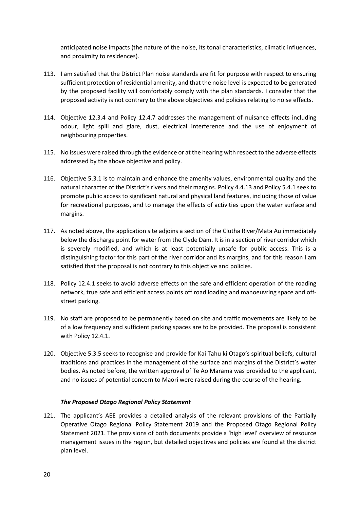anticipated noise impacts (the nature of the noise, its tonal characteristics, climatic influences, and proximity to residences).

- 113. I am satisfied that the District Plan noise standards are fit for purpose with respect to ensuring sufficient protection of residential amenity, and that the noise level is expected to be generated by the proposed facility will comfortably comply with the plan standards. I consider that the proposed activity is not contrary to the above objectives and policies relating to noise effects.
- 114. Objective 12.3.4 and Policy 12.4.7 addresses the management of nuisance effects including odour, light spill and glare, dust, electrical interference and the use of enjoyment of neighbouring properties.
- 115. No issues were raised through the evidence or at the hearing with respect to the adverse effects addressed by the above objective and policy.
- 116. Objective 5.3.1 is to maintain and enhance the amenity values, environmental quality and the natural character of the District's rivers and their margins. Policy 4.4.13 and Policy 5.4.1 seek to promote public access to significant natural and physical land features, including those of value for recreational purposes, and to manage the effects of activities upon the water surface and margins.
- 117. As noted above, the application site adjoins a section of the Clutha River/Mata Au immediately below the discharge point for water from the Clyde Dam. It is in a section of river corridor which is severely modified, and which is at least potentially unsafe for public access. This is a distinguishing factor for this part of the river corridor and its margins, and for this reason I am satisfied that the proposal is not contrary to this objective and policies.
- 118. Policy 12.4.1 seeks to avoid adverse effects on the safe and efficient operation of the roading network, true safe and efficient access points off road loading and manoeuvring space and offstreet parking.
- 119. No staff are proposed to be permanently based on site and traffic movements are likely to be of a low frequency and sufficient parking spaces are to be provided. The proposal is consistent with Policy 12.4.1.
- 120. Objective 5.3.5 seeks to recognise and provide for Kai Tahu ki Otago's spiritual beliefs, cultural traditions and practices in the management of the surface and margins of the District's water bodies. As noted before, the written approval of Te Ao Marama was provided to the applicant, and no issues of potential concern to Maori were raised during the course of the hearing.

#### *The Proposed Otago Regional Policy Statement*

121. The applicant's AEE provides a detailed analysis of the relevant provisions of the Partially Operative Otago Regional Policy Statement 2019 and the Proposed Otago Regional Policy Statement 2021. The provisions of both documents provide a 'high level' overview of resource management issues in the region, but detailed objectives and policies are found at the district plan level.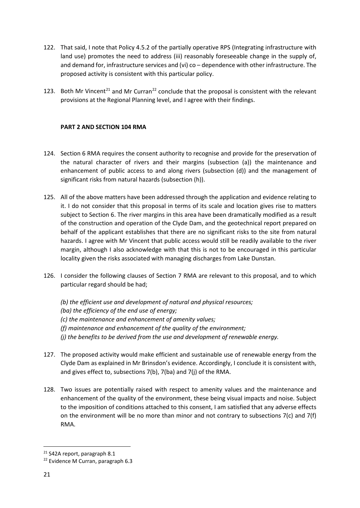- 122. That said, I note that Policy 4.5.2 of the partially operative RPS (Integrating infrastructure with land use) promotes the need to address (iii) reasonably foreseeable change in the supply of, and demand for, infrastructure services and (vi) co – dependence with other infrastructure. The proposed activity is consistent with this particular policy.
- 123. Both Mr Vincent<sup>[21](#page-20-0)</sup> and Mr Curran<sup>[22](#page-20-1)</sup> conclude that the proposal is consistent with the relevant provisions at the Regional Planning level, and I agree with their findings.

# **PART 2 AND SECTION 104 RMA**

- 124. Section 6 RMA requires the consent authority to recognise and provide for the preservation of the natural character of rivers and their margins (subsection (a)) the maintenance and enhancement of public access to and along rivers (subsection (d)) and the management of significant risks from natural hazards (subsection (h)).
- 125. All of the above matters have been addressed through the application and evidence relating to it. I do not consider that this proposal in terms of its scale and location gives rise to matters subject to Section 6. The river margins in this area have been dramatically modified as a result of the construction and operation of the Clyde Dam, and the geotechnical report prepared on behalf of the applicant establishes that there are no significant risks to the site from natural hazards. I agree with Mr Vincent that public access would still be readily available to the river margin, although I also acknowledge with that this is not to be encouraged in this particular locality given the risks associated with managing discharges from Lake Dunstan.
- 126. I consider the following clauses of Section 7 RMA are relevant to this proposal, and to which particular regard should be had;

*(b) the efficient use and development of natural and physical resources; (ba) the efficiency of the end use of energy; (c) the maintenance and enhancement of amenity values; (f) maintenance and enhancement of the quality of the environment; (j) the benefits to be derived from the use and development of renewable energy.*

- 127. The proposed activity would make efficient and sustainable use of renewable energy from the Clyde Dam as explained in Mr Brinsdon's evidence. Accordingly, I conclude it is consistent with, and gives effect to, subsections 7(b), 7(ba) and 7(j) of the RMA.
- 128. Two issues are potentially raised with respect to amenity values and the maintenance and enhancement of the quality of the environment, these being visual impacts and noise. Subject to the imposition of conditions attached to this consent, I am satisfied that any adverse effects on the environment will be no more than minor and not contrary to subsections 7(c) and 7(f) RMA.

<span id="page-20-0"></span><sup>&</sup>lt;sup>21</sup> S42A report, paragraph 8.1

<span id="page-20-1"></span><sup>22</sup> Evidence M Curran, paragraph 6.3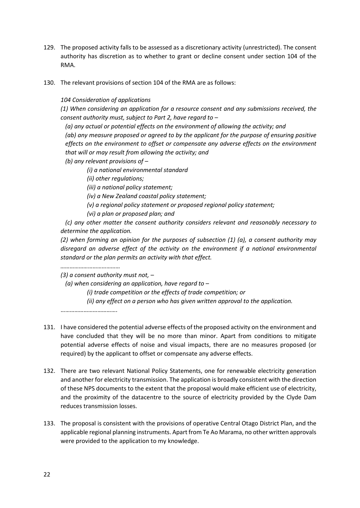- 129. The proposed activity falls to be assessed as a discretionary activity (unrestricted). The consent authority has discretion as to whether to grant or decline consent under section 104 of the RMA.
- 130. The relevant provisions of section 104 of the RMA are as follows:

*104 Consideration of applications*

*(1) When considering an application for a resource consent and any submissions received, the consent authority must, subject to Part 2, have regard to –*

*(a) any actual or potential effects on the environment of allowing the activity; and*

*(ab) any measure proposed or agreed to by the applicant for the purpose of ensuring positive effects on the environment to offset or compensate any adverse effects on the environment that will or may result from allowing the activity; and*

*(b) any relevant provisions of –*

*(i) a national environmental standard*

*(ii) other regulations;*

*(iii) a national policy statement;*

*(iv) a New Zealand coastal policy statement;*

- *(v) a regional policy statement or proposed regional policy statement;*
- *(vi) a plan or proposed plan; and*

*(c) any other matter the consent authority considers relevant and reasonably necessary to determine the application.*

*(2) when forming an opinion for the purposes of subsection (1) (a), a consent authority may disregard an adverse effect of the activity on the environment if a national environmental standard or the plan permits an activity with that effect.*

*…………………………………*

*(3) a consent authority must not, –*

*(a) when considering an application, have regard to –*

*(i) trade competition or the effects of trade competition; or*

*(ii) any effect on a person who has given written approval to the application.*

……………………………….

- 131. I have considered the potential adverse effects of the proposed activity on the environment and have concluded that they will be no more than minor. Apart from conditions to mitigate potential adverse effects of noise and visual impacts, there are no measures proposed (or required) by the applicant to offset or compensate any adverse effects.
- 132. There are two relevant National Policy Statements, one for renewable electricity generation and another for electricity transmission. The application is broadly consistent with the direction of these NPS documents to the extent that the proposal would make efficient use of electricity, and the proximity of the datacentre to the source of electricity provided by the Clyde Dam reduces transmission losses.
- 133. The proposal is consistent with the provisions of operative Central Otago District Plan, and the applicable regional planning instruments. Apart from Te Ao Marama, no other written approvals were provided to the application to my knowledge.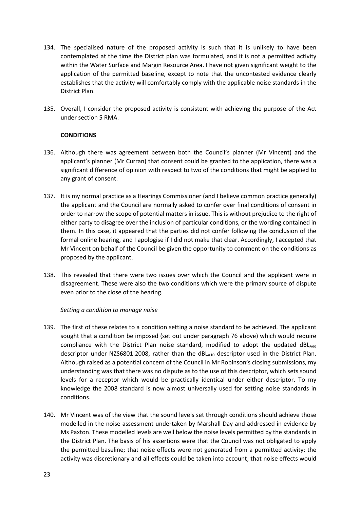- 134. The specialised nature of the proposed activity is such that it is unlikely to have been contemplated at the time the District plan was formulated, and it is not a permitted activity within the Water Surface and Margin Resource Area. I have not given significant weight to the application of the permitted baseline, except to note that the uncontested evidence clearly establishes that the activity will comfortably comply with the applicable noise standards in the District Plan.
- 135. Overall, I consider the proposed activity is consistent with achieving the purpose of the Act under section 5 RMA.

## **CONDITIONS**

- 136. Although there was agreement between both the Council's planner (Mr Vincent) and the applicant's planner (Mr Curran) that consent could be granted to the application, there was a significant difference of opinion with respect to two of the conditions that might be applied to any grant of consent.
- 137. It is my normal practice as a Hearings Commissioner (and I believe common practice generally) the applicant and the Council are normally asked to confer over final conditions of consent in order to narrow the scope of potential matters in issue. This is without prejudice to the right of either party to disagree over the inclusion of particular conditions, or the wording contained in them. In this case, it appeared that the parties did not confer following the conclusion of the formal online hearing, and I apologise if I did not make that clear. Accordingly, I accepted that Mr Vincent on behalf of the Council be given the opportunity to comment on the conditions as proposed by the applicant.
- 138. This revealed that there were two issues over which the Council and the applicant were in disagreement. These were also the two conditions which were the primary source of dispute even prior to the close of the hearing.

#### *Setting a condition to manage noise*

- 139. The first of these relates to a condition setting a noise standard to be achieved. The applicant sought that a condition be imposed (set out under paragraph 76 above) which would require compliance with the District Plan noise standard, modified to adopt the updated  $dB_{\text{Aee}}$ descriptor under NZS6801:2008, rather than the dBLA10 descriptor used in the District Plan. Although raised as a potential concern of the Council in Mr Robinson's closing submissions, my understanding was that there was no dispute as to the use of this descriptor, which sets sound levels for a receptor which would be practically identical under either descriptor. To my knowledge the 2008 standard is now almost universally used for setting noise standards in conditions.
- 140. Mr Vincent was of the view that the sound levels set through conditions should achieve those modelled in the noise assessment undertaken by Marshall Day and addressed in evidence by Ms Paxton. These modelled levels are well below the noise levels permitted by the standards in the District Plan. The basis of his assertions were that the Council was not obligated to apply the permitted baseline; that noise effects were not generated from a permitted activity; the activity was discretionary and all effects could be taken into account; that noise effects would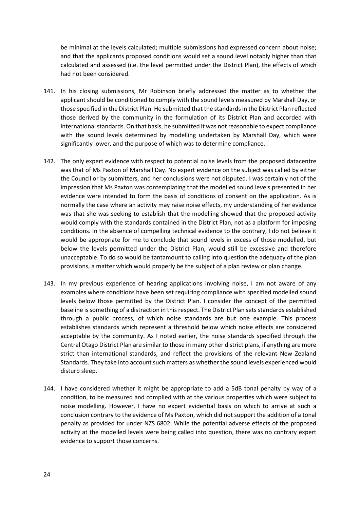be minimal at the levels calculated; multiple submissions had expressed concern about noise; and that the applicants proposed conditions would set a sound level notably higher than that calculated and assessed (i.e. the level permitted under the District Plan), the effects of which had not been considered.

- 141. In his closing submissions, Mr Robinson briefly addressed the matter as to whether the applicant should be conditioned to comply with the sound levels measured by Marshall Day, or those specified in the District Plan. He submitted that the standards in the District Plan reflected those derived by the community in the formulation of its District Plan and accorded with international standards. On that basis, he submitted it was not reasonable to expect compliance with the sound levels determined by modelling undertaken by Marshall Day, which were significantly lower, and the purpose of which was to determine compliance.
- 142. The only expert evidence with respect to potential noise levels from the proposed datacentre was that of Ms Paxton of Marshall Day. No expert evidence on the subject was called by either the Council or by submitters, and her conclusions were not disputed. I was certainly not of the impression that Ms Paxton was contemplating that the modelled sound levels presented in her evidence were intended to form the basis of conditions of consent on the application. As is normally the case where an activity may raise noise effects, my understanding of her evidence was that she was seeking to establish that the modelling showed that the proposed activity would comply with the standards contained in the District Plan, not as a platform for imposing conditions. In the absence of compelling technical evidence to the contrary, I do not believe it would be appropriate for me to conclude that sound levels in excess of those modelled, but below the levels permitted under the District Plan, would still be excessive and therefore unacceptable. To do so would be tantamount to calling into question the adequacy of the plan provisions, a matter which would properly be the subject of a plan review or plan change.
- 143. In my previous experience of hearing applications involving noise, I am not aware of any examples where conditions have been set requiring compliance with specified modelled sound levels below those permitted by the District Plan. I consider the concept of the permitted baseline is something of a distraction in this respect. The District Plan sets standards established through a public process, of which noise standards are but one example. This process establishes standards which represent a threshold below which noise effects are considered acceptable by the community. As I noted earlier, the noise standards specified through the Central Otago District Plan are similar to those in many other district plans, if anything are more strict than international standards, and reflect the provisions of the relevant New Zealand Standards. They take into account such matters as whether the sound levels experienced would disturb sleep.
- 144. I have considered whether it might be appropriate to add a 5dB tonal penalty by way of a condition, to be measured and complied with at the various properties which were subject to noise modelling. However, I have no expert evidential basis on which to arrive at such a conclusion contrary to the evidence of Ms Paxton, which did not support the addition of a tonal penalty as provided for under NZS 6802. While the potential adverse effects of the proposed activity at the modelled levels were being called into question, there was no contrary expert evidence to support those concerns.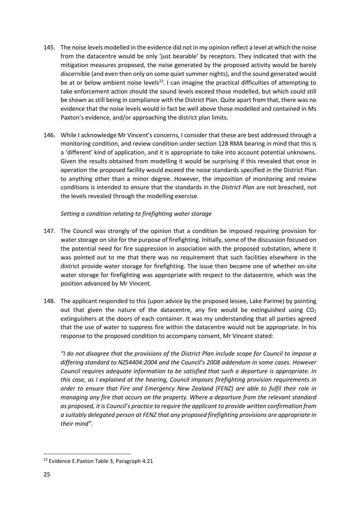- 145. The noise levels modelled in the evidence did not in my opinion reflect a level at which the noise from the datacentre would be only 'just bearable' by receptors. They indicated that with the mitigation measures proposed, the noise generated by the proposed activity would be barely discernible (and even then only on some quiet summer nights), and the sound generated would be at or below ambient noise levels<sup>[23](#page-24-0)</sup>. I can imagine the practical difficulties of attempting to take enforcement action should the sound levels exceed those modelled, but which could still be shown as still being in compliance with the District Plan. Quite apart from that, there was no evidence that the noise levels would in fact be well above those modelled and contained in Ms Paxton's evidence, and/or approaching the district plan limits.
- 146. While I acknowledge Mr Vincent's concerns, I consider that these are best addressed through a monitoring condition, and review condition under section 128 RMA bearing in mind that this is a 'different' kind of application, and it is appropriate to take into account potential unknowns. Given the results obtained from modelling it would be surprising if this revealed that once in operation the proposed facility would exceed the noise standards specified in the District Plan to anything other than a minor degree. However, the imposition of monitoring and review conditions is intended to ensure that the standards in the *District Plan* are not breached, not the levels revealed through the modelling exercise.

# *Setting a condition relating to firefighting water storage*

- 147. The Council was strongly of the opinion that a condition be imposed requiring provision for water storage on site for the purpose of firefighting. Initially, some of the discussion focused on the potential need for fire suppression in association with the proposed substation, where it was pointed out to me that there was no requirement that such facilities elsewhere in the district provide water storage for firefighting. The issue then became one of whether on-site water storage for firefighting was appropriate with respect to the datacentre, which was the position advanced by Mr Vincent.
- 148. The applicant responded to this (upon advice by the proposed lessee, Lake Parime) by pointing out that given the nature of the datacentre, any fire would be extinguished using  $CO<sub>2</sub>$ extinguishers at the doors of each container. It was my understanding that all parties agreed that the use of water to suppress fire within the datacentre would not be appropriate. In his response to the proposed condition to accompany consent, Mr Vincent stated:

*"I do not disagree that the provisions of the District Plan include scope for Council to impose a differing standard to NZS4404:2004 and the Council's 2008 addendum in some cases. However Council requires adequate information to be satisfied that such a departure is appropriate. In this case, as I explained at the hearing, Council imposes firefighting provision requirements in order to ensure that Fire and Emergency New Zealand (FENZ) are able to fulfil their role in managing any fire that occurs on the property. Where a departure from the relevant standard as proposed, it is Council's practice to require the applicant to provide written confirmation from a suitably delegated person at FENZ that any proposed firefighting provisions are appropriate in their mind".*

<span id="page-24-0"></span><sup>&</sup>lt;sup>23</sup> Evidence E.Paxton Table 3, Paragraph 4.21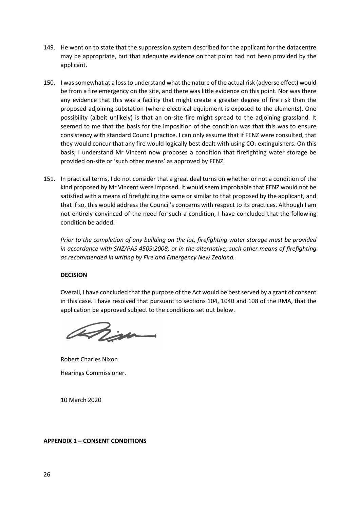- 149. He went on to state that the suppression system described for the applicant for the datacentre may be appropriate, but that adequate evidence on that point had not been provided by the applicant.
- 150. I was somewhat at a loss to understand what the nature of the actual risk (adverse effect) would be from a fire emergency on the site, and there was little evidence on this point. Nor was there any evidence that this was a facility that might create a greater degree of fire risk than the proposed adjoining substation (where electrical equipment is exposed to the elements). One possibility (albeit unlikely) is that an on-site fire might spread to the adjoining grassland. It seemed to me that the basis for the imposition of the condition was that this was to ensure consistency with standard Council practice. I can only assume that if FENZ were consulted, that they would concur that any fire would logically best dealt with using  $CO<sub>2</sub>$  extinguishers. On this basis, I understand Mr Vincent now proposes a condition that firefighting water storage be provided on-site or 'such other means' as approved by FENZ.
- 151. In practical terms, I do not consider that a great deal turns on whether or not a condition of the kind proposed by Mr Vincent were imposed. It would seem improbable that FENZ would not be satisfied with a means of firefighting the same or similar to that proposed by the applicant, and that if so, this would address the Council's concerns with respect to its practices. Although I am not entirely convinced of the need for such a condition, I have concluded that the following condition be added:

*Prior to the completion of any building on the lot, firefighting water storage must be provided in accordance with SNZ/PAS 4509:2008; or in the alternative, such other means of firefighting as recommended in writing by Fire and Emergency New Zealand.*

# **DECISION**

Overall, I have concluded that the purpose of the Act would be best served by a grant of consent in this case. I have resolved that pursuant to sections 104, 104B and 108 of the RMA, that the application be approved subject to the conditions set out below.

anim

Robert Charles Nixon Hearings Commissioner.

10 March 2020

# **APPENDIX 1 – CONSENT CONDITIONS**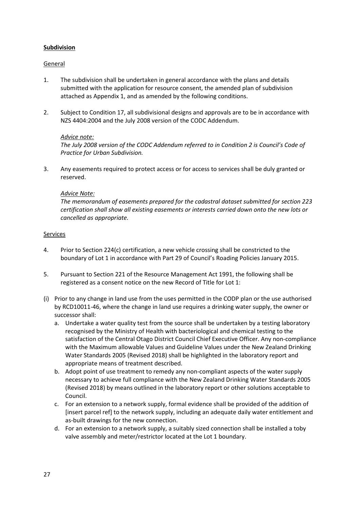# **Subdivision**

## General

- 1. The subdivision shall be undertaken in general accordance with the plans and details submitted with the application for resource consent, the amended plan of subdivision attached as Appendix 1, and as amended by the following conditions.
- 2. Subject to Condition 17, all subdivisional designs and approvals are to be in accordance with NZS 4404:2004 and the July 2008 version of the CODC Addendum.

## *Advice note:*

*The July 2008 version of the CODC Addendum referred to in Condition 2 is Council's Code of Practice for Urban Subdivision.*

3. Any easements required to protect access or for access to services shall be duly granted or reserved.

#### *Advice Note:*

*The memorandum of easements prepared for the cadastral dataset submitted for section 223 certification shall show all existing easements or interests carried down onto the new lots or cancelled as appropriate.*

#### **Services**

- 4. Prior to Section 224(c) certification, a new vehicle crossing shall be constricted to the boundary of Lot 1 in accordance with Part 29 of Council's Roading Policies January 2015.
- 5. Pursuant to Section 221 of the Resource Management Act 1991, the following shall be registered as a consent notice on the new Record of Title for Lot 1:
- (i) Prior to any change in land use from the uses permitted in the CODP plan or the use authorised by RCD10011-46, where the change in land use requires a drinking water supply, the owner or successor shall:
	- a. Undertake a water quality test from the source shall be undertaken by a testing laboratory recognised by the Ministry of Health with bacteriological and chemical testing to the satisfaction of the Central Otago District Council Chief Executive Officer. Any non-compliance with the Maximum allowable Values and Guideline Values under the New Zealand Drinking Water Standards 2005 (Revised 2018) shall be highlighted in the laboratory report and appropriate means of treatment described.
	- b. Adopt point of use treatment to remedy any non-compliant aspects of the water supply necessary to achieve full compliance with the New Zealand Drinking Water Standards 2005 (Revised 2018) by means outlined in the laboratory report or other solutions acceptable to Council.
	- c. For an extension to a network supply, formal evidence shall be provided of the addition of [insert parcel ref] to the network supply, including an adequate daily water entitlement and as-built drawings for the new connection.
	- d. For an extension to a network supply, a suitably sized connection shall be installed a toby valve assembly and meter/restrictor located at the Lot 1 boundary.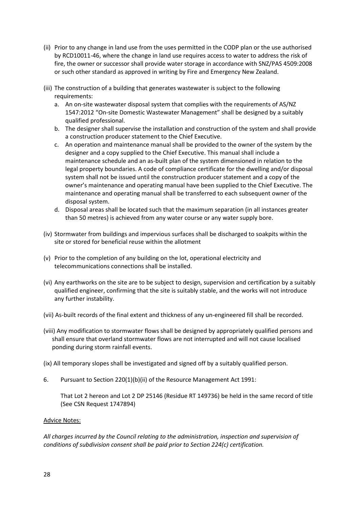- (ii) Prior to any change in land use from the uses permitted in the CODP plan or the use authorised by RCD10011-46, where the change in land use requires access to water to address the risk of fire, the owner or successor shall provide water storage in accordance with SNZ/PAS 4509:2008 or such other standard as approved in writing by Fire and Emergency New Zealand.
- (iii) The construction of a building that generates wastewater is subject to the following requirements:
	- a. An on-site wastewater disposal system that complies with the requirements of AS/NZ 1547:2012 "On-site Domestic Wastewater Management" shall be designed by a suitably qualified professional.
	- b. The designer shall supervise the installation and construction of the system and shall provide a construction producer statement to the Chief Executive.
	- c. An operation and maintenance manual shall be provided to the owner of the system by the designer and a copy supplied to the Chief Executive. This manual shall include a maintenance schedule and an as-built plan of the system dimensioned in relation to the legal property boundaries. A code of compliance certificate for the dwelling and/or disposal system shall not be issued until the construction producer statement and a copy of the owner's maintenance and operating manual have been supplied to the Chief Executive. The maintenance and operating manual shall be transferred to each subsequent owner of the disposal system.
	- d. Disposal areas shall be located such that the maximum separation (in all instances greater than 50 metres) is achieved from any water course or any water supply bore.
- (iv) Stormwater from buildings and impervious surfaces shall be discharged to soakpits within the site or stored for beneficial reuse within the allotment
- (v) Prior to the completion of any building on the lot, operational electricity and telecommunications connections shall be installed.
- (vi) Any earthworks on the site are to be subject to design, supervision and certification by a suitably qualified engineer, confirming that the site is suitably stable, and the works will not introduce any further instability.
- (vii) As-built records of the final extent and thickness of any un-engineered fill shall be recorded.
- (viii) Any modification to stormwater flows shall be designed by appropriately qualified persons and shall ensure that overland stormwater flows are not interrupted and will not cause localised ponding during storm rainfall events.
- (ix) All temporary slopes shall be investigated and signed off by a suitably qualified person.
- 6. Pursuant to Section 220(1)(b)(ii) of the Resource Management Act 1991:

That Lot 2 hereon and Lot 2 DP 25146 (Residue RT 149736) be held in the same record of title (See CSN Request 1747894)

#### Advice Notes:

*All charges incurred by the Council relating to the administration, inspection and supervision of conditions of subdivision consent shall be paid prior to Section 224(c) certification.*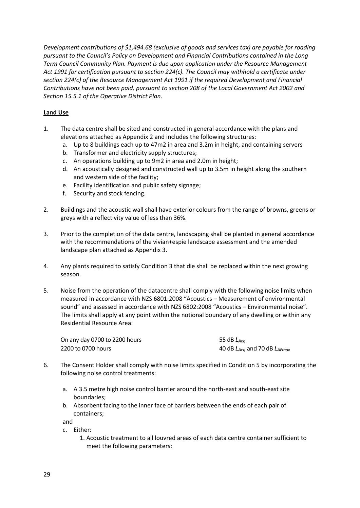*Development contributions of \$1,494.68 (exclusive of goods and services tax) are payable for roading pursuant to the Council's Policy on Development and Financial Contributions contained in the Long Term Council Community Plan. Payment is due upon application under the Resource Management Act 1991 for certification pursuant to section 224(c). The Council may withhold a certificate under section 224(c) of the Resource Management Act 1991 if the required Development and Financial Contributions have not been paid, pursuant to section 208 of the Local Government Act 2002 and Section 15.5.1 of the Operative District Plan.*

# **Land Use**

- 1. The data centre shall be sited and constructed in general accordance with the plans and elevations attached as Appendix 2 and includes the following structures:
	- a. Up to 8 buildings each up to 47m2 in area and 3.2m in height, and containing servers
	- b. Transformer and electricity supply structures;
	- c. An operations building up to 9m2 in area and 2.0m in height;
	- d. An acoustically designed and constructed wall up to 3.5m in height along the southern and western side of the facility;
	- e. Facility identification and public safety signage;
	- f. Security and stock fencing.
- 2. Buildings and the acoustic wall shall have exterior colours from the range of browns, greens or greys with a reflectivity value of less than 36%.
- 3. Prior to the completion of the data centre, landscaping shall be planted in general accordance with the recommendations of the vivian+espie landscape assessment and the amended landscape plan attached as Appendix 3.
- 4. Any plants required to satisfy Condition 3 that die shall be replaced within the next growing season.
- 5. Noise from the operation of the datacentre shall comply with the following noise limits when measured in accordance with NZS 6801:2008 "Acoustics – Measurement of environmental sound" and assessed in accordance with NZS 6802:2008 "Acoustics – Environmental noise". The limits shall apply at any point within the notional boundary of any dwelling or within any Residential Resource Area:

| On any day 0700 to 2200 hours | 55 dB $L_{Aea}$                       |
|-------------------------------|---------------------------------------|
| 2200 to 0700 hours            | 40 dB $L_{Aeq}$ and 70 dB $L_{AFmax}$ |

- 6. The Consent Holder shall comply with noise limits specified in Condition 5 by incorporating the following noise control treatments:
	- a. A 3.5 metre high noise control barrier around the north-east and south-east site boundaries;
	- b. Absorbent facing to the inner face of barriers between the ends of each pair of containers;

and

c. Either: 1. Acoustic treatment to all louvred areas of each data centre container sufficient to meet the following parameters: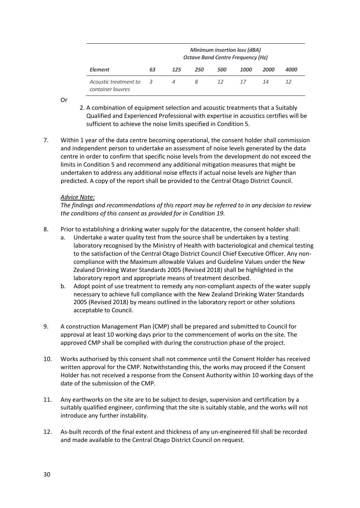|                                            | <b>Minimum insertion loss (dBA)</b><br><b>Octave Band Centre Frequency (Hz)</b> |     |     |     |      |      |                    |
|--------------------------------------------|---------------------------------------------------------------------------------|-----|-----|-----|------|------|--------------------|
| <b>Element</b>                             | 63                                                                              | 125 | 250 | 500 | 1000 | 2000 | <i><b>4000</b></i> |
| Acoustic treatment to<br>container louvres | 3                                                                               | 4   | 8   | 12  | 17   | 14   | 12                 |

Or

- 2. A combination of equipment selection and acoustic treatments that a Suitably Qualified and Experienced Professional with expertise in acoustics certifies will be sufficient to achieve the noise limits specified in Condition 5.
- 7. Within 1 year of the data centre becoming operational, the consent holder shall commission and independent person to undertake an assessment of noise levels generated by the data centre in order to confirm that specific noise levels from the development do not exceed the limits in Condition 5 and recommend any additional mitigation measures that might be undertaken to address any additional noise effects if actual noise levels are higher than predicted. A copy of the report shall be provided to the Central Otago District Council.

## *Advice Note:*

*The findings and recommendations of this report may be referred to in any decision to review the conditions of this consent as provided for in Condition 19.*

- 8. Prior to establishing a drinking water supply for the datacentre, the consent holder shall:
	- a. Undertake a water quality test from the source shall be undertaken by a testing laboratory recognised by the Ministry of Health with bacteriological and chemical testing to the satisfaction of the Central Otago District Council Chief Executive Officer. Any noncompliance with the Maximum allowable Values and Guideline Values under the New Zealand Drinking Water Standards 2005 (Revised 2018) shall be highlighted in the laboratory report and appropriate means of treatment described.
	- b. Adopt point of use treatment to remedy any non-compliant aspects of the water supply necessary to achieve full compliance with the New Zealand Drinking Water Standards 2005 (Revised 2018) by means outlined in the laboratory report or other solutions acceptable to Council.
- 9. A construction Management Plan (CMP) shall be prepared and submitted to Council for approval at least 10 working days prior to the commencement of works on the site. The approved CMP shall be complied with during the construction phase of the project.
- 10. Works authorised by this consent shall not commence until the Consent Holder has received written approval for the CMP. Notwithstanding this, the works may proceed if the Consent Holder has not received a response from the Consent Authority within 10 working days of the date of the submission of the CMP.
- 11. Any earthworks on the site are to be subject to design, supervision and certification by a suitably qualified engineer, confirming that the site is suitably stable, and the works will not introduce any further instability.
- 12. As-built records of the final extent and thickness of any un-engineered fill shall be recorded and made available to the Central Otago District Council on request.